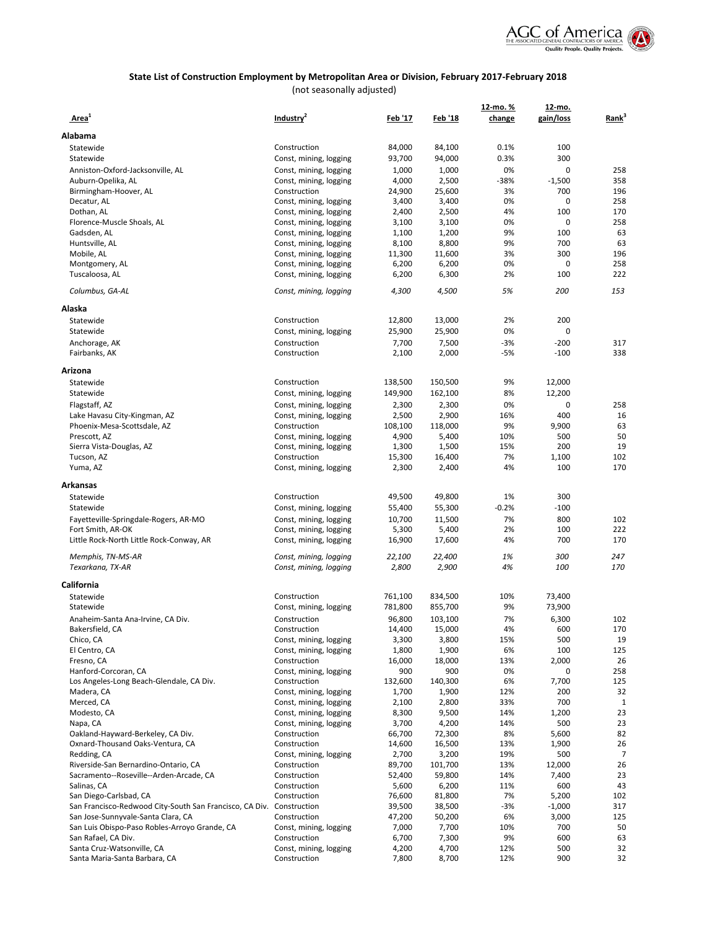

|                                                                      |                                                  |                 |                 | 12-mo.%    | 12-mo.       |                   |
|----------------------------------------------------------------------|--------------------------------------------------|-----------------|-----------------|------------|--------------|-------------------|
| Area <sup>1</sup>                                                    | Industry <sup>4</sup>                            | <u>Feb '17</u>  | Feb '18         | change     | gain/loss    | Rank <sup>3</sup> |
| Alabama                                                              |                                                  |                 |                 |            |              |                   |
| Statewide                                                            | Construction                                     | 84,000          | 84,100          | 0.1%       | 100          |                   |
| Statewide                                                            | Const, mining, logging                           | 93,700          | 94,000          | 0.3%       | 300          |                   |
| Anniston-Oxford-Jacksonville, AL                                     | Const, mining, logging                           | 1,000           | 1,000           | 0%         | 0            | 258               |
| Auburn-Opelika, AL                                                   | Const, mining, logging                           | 4,000           | 2,500           | -38%       | $-1,500$     | 358               |
| Birmingham-Hoover, AL                                                | Construction                                     | 24,900          | 25,600          | 3%<br>0%   | 700<br>0     | 196<br>258        |
| Decatur, AL<br>Dothan, AL                                            | Const, mining, logging<br>Const, mining, logging | 3,400<br>2,400  | 3,400<br>2,500  | 4%         | 100          | 170               |
| Florence-Muscle Shoals, AL                                           | Const, mining, logging                           | 3,100           | 3,100           | 0%         | 0            | 258               |
| Gadsden, AL                                                          | Const, mining, logging                           | 1,100           | 1,200           | 9%         | 100          | 63                |
| Huntsville, AL                                                       | Const, mining, logging                           | 8,100           | 8,800           | 9%         | 700          | 63                |
| Mobile, AL                                                           | Const, mining, logging                           | 11,300          | 11,600          | 3%         | 300          | 196               |
| Montgomery, AL                                                       | Const, mining, logging                           | 6,200           | 6,200           | 0%         | 0            | 258               |
| Tuscaloosa, AL                                                       | Const, mining, logging                           | 6,200           | 6,300           | 2%         | 100          | 222               |
| Columbus, GA-AL                                                      | Const, mining, logging                           | 4,300           | 4,500           | 5%         | 200          | 153               |
| Alaska                                                               |                                                  |                 |                 |            |              |                   |
| Statewide                                                            | Construction                                     | 12,800          | 13,000          | 2%         | 200          |                   |
| Statewide                                                            | Const, mining, logging                           | 25,900          | 25,900          | 0%         | 0            |                   |
| Anchorage, AK                                                        | Construction                                     | 7,700           | 7,500           | $-3%$      | $-200$       | 317               |
| Fairbanks, AK                                                        | Construction                                     | 2,100           | 2,000           | $-5%$      | $-100$       | 338               |
| Arizona                                                              |                                                  |                 |                 |            |              |                   |
| Statewide                                                            | Construction                                     | 138,500         | 150,500         | 9%         | 12,000       |                   |
| Statewide                                                            | Const, mining, logging                           | 149,900         | 162,100         | 8%         | 12,200       |                   |
| Flagstaff, AZ                                                        | Const, mining, logging                           | 2,300           | 2,300           | 0%         | 0            | 258               |
| Lake Havasu City-Kingman, AZ                                         | Const, mining, logging                           | 2,500           | 2,900           | 16%        | 400          | 16                |
| Phoenix-Mesa-Scottsdale, AZ                                          | Construction                                     | 108,100         | 118,000         | 9%         | 9,900        | 63                |
| Prescott, AZ                                                         | Const, mining, logging                           | 4,900           | 5,400           | 10%        | 500          | 50                |
| Sierra Vista-Douglas, AZ<br>Tucson, AZ                               | Const, mining, logging<br>Construction           | 1,300<br>15,300 | 1,500<br>16,400 | 15%<br>7%  | 200<br>1,100 | 19<br>102         |
| Yuma, AZ                                                             | Const, mining, logging                           | 2,300           | 2,400           | 4%         | 100          | 170               |
|                                                                      |                                                  |                 |                 |            |              |                   |
| Arkansas                                                             |                                                  |                 |                 |            |              |                   |
| Statewide                                                            | Construction                                     | 49,500          | 49,800          | 1%         | 300          |                   |
| Statewide                                                            | Const, mining, logging                           | 55,400          | 55,300          | $-0.2%$    | $-100$       |                   |
| Fayetteville-Springdale-Rogers, AR-MO<br>Fort Smith, AR-OK           | Const, mining, logging<br>Const, mining, logging | 10,700<br>5,300 | 11,500<br>5,400 | 7%<br>2%   | 800<br>100   | 102<br>222        |
| Little Rock-North Little Rock-Conway, AR                             | Const, mining, logging                           | 16,900          | 17,600          | 4%         | 700          | 170               |
|                                                                      |                                                  |                 |                 |            |              |                   |
| Memphis, TN-MS-AR                                                    | Const, mining, logging                           | 22,100          | 22,400          | 1%         | 300          | 247               |
| Texarkana, TX-AR                                                     | Const, mining, logging                           | 2,800           | 2,900           | 4%         | 100          | 170               |
| California                                                           |                                                  |                 |                 |            |              |                   |
| Statewide                                                            | Construction                                     | 761,100         | 834,500         | 10%        | 73,400       |                   |
| Statewide                                                            | Const, mining, logging                           | 781,800         | 855,700         | 9%         | 73,900       |                   |
| Anaheim-Santa Ana-Irvine, CA Div.                                    | Construction                                     | 96,800          | 103,100         | 7%         | 6,300        | 102               |
| Bakersfield, CA                                                      | Construction                                     | 14,400          | 15,000          | 4%         | 600          | 170               |
| Chico, CA<br>El Centro, CA                                           | Const, mining, logging<br>Const, mining, logging | 3,300<br>1,800  | 3,800<br>1,900  | 15%<br>6%  | 500<br>100   | 19<br>125         |
| Fresno, CA                                                           | Construction                                     | 16,000          | 18,000          | 13%        | 2,000        | 26                |
| Hanford-Corcoran, CA                                                 | Const, mining, logging                           | 900             | 900             | 0%         | 0            | 258               |
| Los Angeles-Long Beach-Glendale, CA Div.                             | Construction                                     | 132,600         | 140,300         | 6%         | 7,700        | 125               |
| Madera, CA                                                           | Const, mining, logging                           | 1,700           | 1,900           | 12%        | 200          | 32                |
| Merced, CA                                                           | Const, mining, logging                           | 2,100           | 2,800           | 33%        | 700          | 1                 |
| Modesto, CA                                                          | Const, mining, logging                           | 8,300           | 9,500           | 14%        | 1,200        | 23                |
| Napa, CA                                                             | Const, mining, logging                           | 3,700           | 4,200           | 14%        | 500          | 23                |
| Oakland-Hayward-Berkeley, CA Div.                                    | Construction                                     | 66,700          | 72,300          | 8%         | 5,600        | 82                |
| Oxnard-Thousand Oaks-Ventura, CA<br>Redding, CA                      | Construction<br>Const, mining, logging           | 14,600<br>2,700 | 16,500<br>3,200 | 13%<br>19% | 1,900<br>500 | 26<br>7           |
| Riverside-San Bernardino-Ontario, CA                                 | Construction                                     | 89,700          | 101,700         | 13%        | 12,000       | 26                |
| Sacramento--Roseville--Arden-Arcade, CA                              | Construction                                     | 52,400          | 59,800          | 14%        | 7,400        | 23                |
| Salinas, CA                                                          | Construction                                     | 5,600           | 6,200           | 11%        | 600          | 43                |
| San Diego-Carlsbad, CA                                               | Construction                                     | 76,600          | 81,800          | 7%         | 5,200        | 102               |
| San Francisco-Redwood City-South San Francisco, CA Div. Construction |                                                  | 39,500          | 38,500          | $-3%$      | $-1,000$     | 317               |
| San Jose-Sunnyvale-Santa Clara, CA                                   | Construction                                     | 47,200          | 50,200          | 6%         | 3,000        | 125               |
| San Luis Obispo-Paso Robles-Arroyo Grande, CA                        | Const, mining, logging                           | 7,000           | 7,700           | 10%        | 700          | 50                |
| San Rafael, CA Div.<br>Santa Cruz-Watsonville, CA                    | Construction<br>Const, mining, logging           | 6,700<br>4,200  | 7,300<br>4,700  | 9%<br>12%  | 600<br>500   | 63<br>32          |
| Santa Maria-Santa Barbara, CA                                        | Construction                                     | 7,800           | 8,700           | 12%        | 900          | 32                |
|                                                                      |                                                  |                 |                 |            |              |                   |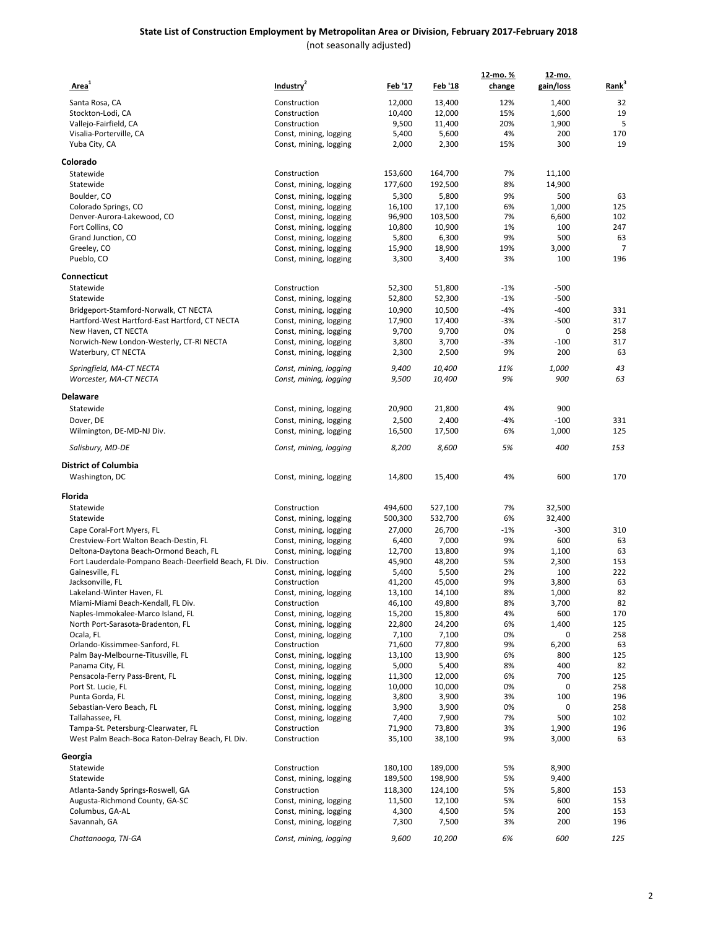| Area <sup>1</sup>                                                       | Industry <sup>2</sup>                            | <u>Feb '17</u>   | Feb '18          | 12-mo. %<br>change | 12-mo.<br>gain/loss | Rank <sup>3</sup> |
|-------------------------------------------------------------------------|--------------------------------------------------|------------------|------------------|--------------------|---------------------|-------------------|
| Santa Rosa, CA                                                          | Construction                                     | 12,000           | 13,400           | 12%                | 1,400               | 32                |
| Stockton-Lodi, CA                                                       | Construction                                     | 10,400           | 12,000           | 15%                | 1,600               | 19                |
| Vallejo-Fairfield, CA                                                   | Construction                                     | 9,500            | 11,400           | 20%                | 1,900               | 5                 |
| Visalia-Porterville, CA                                                 | Const, mining, logging                           | 5,400            | 5,600            | 4%                 | 200                 | 170               |
| Yuba City, CA                                                           | Const, mining, logging                           | 2,000            | 2,300            | 15%                | 300                 | 19                |
| Colorado                                                                |                                                  |                  |                  |                    |                     |                   |
| Statewide                                                               | Construction                                     | 153,600          | 164,700          | 7%                 | 11,100              |                   |
| Statewide                                                               | Const, mining, logging                           | 177,600          | 192,500          | 8%                 | 14,900              |                   |
| Boulder, CO                                                             | Const, mining, logging                           | 5,300            | 5,800            | 9%                 | 500                 | 63                |
| Colorado Springs, CO                                                    | Const, mining, logging                           | 16,100           | 17,100           | 6%                 | 1,000               | 125               |
| Denver-Aurora-Lakewood, CO                                              | Const, mining, logging                           | 96,900           | 103,500          | 7%                 | 6,600               | 102               |
| Fort Collins, CO                                                        | Const, mining, logging                           | 10,800           | 10,900           | 1%                 | 100                 | 247               |
| Grand Junction, CO                                                      | Const, mining, logging                           | 5,800            | 6,300            | 9%                 | 500                 | 63                |
| Greeley, CO                                                             | Const, mining, logging                           | 15,900           | 18,900           | 19%                | 3,000               | 7                 |
| Pueblo, CO                                                              | Const, mining, logging                           | 3,300            | 3,400            | 3%                 | 100                 | 196               |
| Connecticut                                                             |                                                  |                  |                  |                    |                     |                   |
| Statewide                                                               | Construction                                     | 52,300           | 51,800           | $-1%$              | $-500$              |                   |
| Statewide                                                               | Const, mining, logging                           | 52,800           | 52,300           | $-1%$              | $-500$              |                   |
| Bridgeport-Stamford-Norwalk, CT NECTA                                   | Const, mining, logging                           | 10,900           | 10,500           | $-4%$              | $-400$              | 331               |
| Hartford-West Hartford-East Hartford, CT NECTA                          | Const, mining, logging                           | 17,900           | 17,400           | $-3%$              | $-500$              | 317               |
| New Haven, CT NECTA                                                     | Const, mining, logging                           | 9,700            | 9,700            | 0%                 | 0                   | 258               |
| Norwich-New London-Westerly, CT-RI NECTA<br>Waterbury, CT NECTA         | Const, mining, logging                           | 3,800            | 3,700            | $-3%$<br>9%        | $-100$<br>200       | 317<br>63         |
|                                                                         | Const, mining, logging                           | 2,300            | 2,500            |                    |                     |                   |
| Springfield, MA-CT NECTA<br>Worcester, MA-CT NECTA                      | Const, mining, logging<br>Const, mining, logging | 9,400<br>9,500   | 10,400<br>10,400 | 11%<br>9%          | 1,000<br>900        | 43<br>63          |
|                                                                         |                                                  |                  |                  |                    |                     |                   |
| Delaware<br>Statewide                                                   | Const, mining, logging                           | 20,900           | 21,800           | 4%                 | 900                 |                   |
| Dover, DE                                                               |                                                  | 2,500            | 2,400            | $-4%$              | $-100$              | 331               |
| Wilmington, DE-MD-NJ Div.                                               | Const, mining, logging<br>Const, mining, logging | 16,500           | 17,500           | 6%                 | 1,000               | 125               |
| Salisbury, MD-DE                                                        | Const, mining, logging                           | 8,200            | 8,600            | 5%                 | 400                 | 153               |
| <b>District of Columbia</b>                                             |                                                  |                  |                  |                    |                     |                   |
| Washington, DC                                                          | Const, mining, logging                           | 14,800           | 15,400           | 4%                 | 600                 | 170               |
| Florida                                                                 |                                                  |                  |                  |                    |                     |                   |
| Statewide                                                               | Construction                                     | 494,600          | 527,100          | 7%                 | 32,500              |                   |
| Statewide                                                               | Const, mining, logging                           | 500,300          | 532,700          | 6%                 | 32,400              |                   |
| Cape Coral-Fort Myers, FL                                               | Const, mining, logging                           | 27,000           | 26,700           | $-1%$              | $-300$              | 310               |
| Crestview-Fort Walton Beach-Destin, FL                                  | Const, mining, logging                           | 6,400            | 7,000            | 9%                 | 600                 | 63                |
| Deltona-Daytona Beach-Ormond Beach, FL                                  | Const, mining, logging                           | 12,700           | 13,800           | 9%                 | 1,100               | 63                |
| Fort Lauderdale-Pompano Beach-Deerfield Beach, FL Div. Construction     |                                                  | 45,900           | 48,200           | 5%                 | 2,300               | 153               |
| Gainesville, FL                                                         | Const, mining, logging                           | 5,400            | 5,500            | 2%                 | 100                 | 222               |
| Jacksonville, FL                                                        | Construction                                     | 41,200           | 45,000           | 9%                 | 3,800               | 63                |
| Lakeland-Winter Haven, FL                                               | Const, mining, logging                           | 13,100           | 14,100           | 8%                 | 1,000               | 82                |
| Miami-Miami Beach-Kendall, FL Div.<br>Naples-Immokalee-Marco Island, FL | Construction                                     | 46,100           | 49,800<br>15,800 | 8%<br>4%           | 3,700<br>600        | 82<br>170         |
| North Port-Sarasota-Bradenton, FL                                       | Const, mining, logging<br>Const, mining, logging | 15,200<br>22,800 | 24,200           | 6%                 | 1,400               | 125               |
| Ocala, FL                                                               | Const, mining, logging                           | 7,100            | 7,100            | 0%                 | 0                   | 258               |
| Orlando-Kissimmee-Sanford, FL                                           | Construction                                     | 71,600           | 77,800           | 9%                 | 6,200               | 63                |
| Palm Bay-Melbourne-Titusville, FL                                       | Const, mining, logging                           | 13,100           | 13,900           | 6%                 | 800                 | 125               |
| Panama City, FL                                                         | Const, mining, logging                           | 5,000            | 5,400            | 8%                 | 400                 | 82                |
| Pensacola-Ferry Pass-Brent, FL                                          | Const, mining, logging                           | 11,300           | 12,000           | 6%                 | 700                 | 125               |
| Port St. Lucie, FL                                                      | Const, mining, logging                           | 10,000           | 10,000           | 0%                 | 0                   | 258               |
| Punta Gorda, FL                                                         | Const, mining, logging                           | 3,800            | 3,900            | 3%                 | 100                 | 196               |
| Sebastian-Vero Beach, FL                                                | Const, mining, logging                           | 3,900            | 3,900            | 0%                 | 0                   | 258               |
| Tallahassee, FL                                                         | Const, mining, logging                           | 7,400            | 7,900            | 7%                 | 500                 | 102               |
| Tampa-St. Petersburg-Clearwater, FL                                     | Construction                                     | 71,900           | 73,800           | 3%                 | 1,900               | 196               |
| West Palm Beach-Boca Raton-Delray Beach, FL Div.                        | Construction                                     | 35,100           | 38,100           | 9%                 | 3,000               | 63                |
| Georgia                                                                 |                                                  |                  |                  |                    |                     |                   |
| Statewide                                                               | Construction                                     | 180,100          | 189,000          | 5%                 | 8,900               |                   |
| Statewide                                                               | Const, mining, logging                           | 189,500          | 198,900          | 5%                 | 9,400               |                   |
| Atlanta-Sandy Springs-Roswell, GA                                       | Construction                                     | 118,300          | 124,100          | 5%                 | 5,800               | 153               |
| Augusta-Richmond County, GA-SC<br>Columbus, GA-AL                       | Const, mining, logging<br>Const, mining, logging | 11,500<br>4,300  | 12,100<br>4,500  | 5%<br>5%           | 600<br>200          | 153<br>153        |
| Savannah, GA                                                            | Const, mining, logging                           | 7,300            | 7,500            | 3%                 | 200                 | 196               |
|                                                                         |                                                  |                  |                  |                    |                     |                   |
| Chattanooga, TN-GA                                                      | Const, mining, logging                           | 9,600            | 10,200           | 6%                 | 600                 | 125               |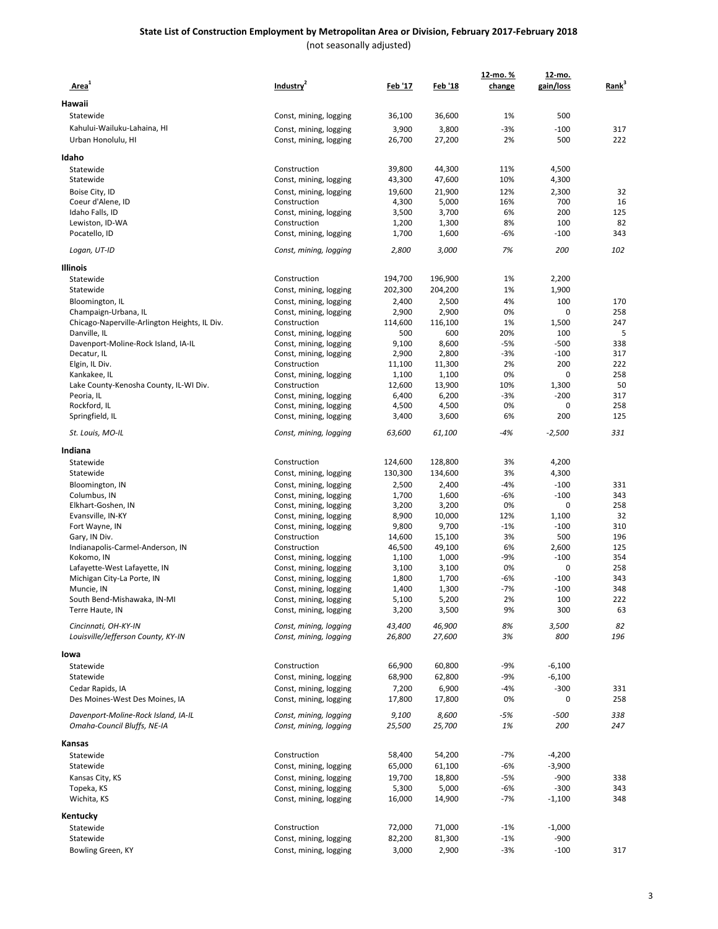#### **State List of Construction Employment by Metropolitan Area or Division, February 2017-February 2018** (not seasonally adjusted)

| Area <sup>1</sup>                                          | Industry <sup>2</sup>                            | <u>Feb '17</u>  | Feb '18         | 12-mo. %<br>change | 12-mo.<br>gain/loss | Rank <sup>3</sup> |
|------------------------------------------------------------|--------------------------------------------------|-----------------|-----------------|--------------------|---------------------|-------------------|
| Hawaii                                                     |                                                  |                 |                 |                    |                     |                   |
| Statewide                                                  | Const, mining, logging                           | 36,100          | 36,600          | 1%                 | 500                 |                   |
| Kahului-Wailuku-Lahaina, HI                                | Const, mining, logging                           | 3,900           | 3,800           | $-3%$              | $-100$              | 317               |
| Urban Honolulu, HI                                         | Const, mining, logging                           | 26,700          | 27,200          | 2%                 | 500                 | 222               |
|                                                            |                                                  |                 |                 |                    |                     |                   |
| Idaho                                                      |                                                  |                 |                 |                    |                     |                   |
| Statewide                                                  | Construction                                     | 39,800          | 44,300          | 11%                | 4,500               |                   |
| Statewide                                                  | Const, mining, logging                           | 43,300          | 47,600          | 10%                | 4,300               |                   |
| Boise City, ID<br>Coeur d'Alene, ID                        | Const, mining, logging<br>Construction           | 19,600<br>4,300 | 21,900<br>5,000 | 12%<br>16%         | 2,300<br>700        | 32<br>16          |
| Idaho Falls, ID                                            | Const, mining, logging                           | 3,500           | 3,700           | 6%                 | 200                 | 125               |
| Lewiston, ID-WA                                            | Construction                                     | 1,200           | 1,300           | 8%                 | 100                 | 82                |
| Pocatello, ID                                              | Const, mining, logging                           | 1,700           | 1,600           | -6%                | $-100$              | 343               |
| Logan, UT-ID                                               | Const, mining, logging                           | 2,800           | 3,000           | 7%                 | 200                 | 102               |
| Illinois                                                   |                                                  |                 |                 |                    |                     |                   |
| Statewide                                                  | Construction                                     | 194,700         | 196,900         | 1%                 | 2,200               |                   |
| Statewide                                                  | Const, mining, logging                           | 202,300         | 204,200         | 1%                 | 1,900               |                   |
| Bloomington, IL                                            | Const, mining, logging                           | 2,400           | 2,500           | 4%                 | 100                 | 170               |
| Champaign-Urbana, IL                                       | Const, mining, logging                           | 2,900           | 2,900           | 0%                 | 0                   | 258               |
| Chicago-Naperville-Arlington Heights, IL Div.              | Construction                                     | 114,600         | 116,100         | 1%                 | 1,500               | 247               |
| Danville, IL                                               | Const, mining, logging                           | 500             | 600             | 20%                | 100                 | 5                 |
| Davenport-Moline-Rock Island, IA-IL                        | Const, mining, logging                           | 9,100           | 8,600           | $-5%$              | $-500$              | 338               |
| Decatur, IL                                                | Const, mining, logging                           | 2,900           | 2,800           | $-3%$              | $-100$              | 317               |
| Elgin, IL Div.                                             | Construction                                     | 11,100          | 11,300          | 2%                 | 200                 | 222               |
| Kankakee, IL                                               | Const, mining, logging                           | 1,100           | 1,100           | 0%                 | $\mathbf 0$         | 258               |
| Lake County-Kenosha County, IL-WI Div.                     | Construction                                     | 12,600          | 13,900          | 10%                | 1,300               | 50                |
| Peoria, IL                                                 | Const, mining, logging                           | 6,400           | 6,200           | $-3%$              | $-200$              | 317               |
| Rockford, IL                                               | Const, mining, logging                           | 4,500           | 4,500           | 0%                 | 0                   | 258               |
| Springfield, IL                                            | Const, mining, logging                           | 3,400           | 3,600           | 6%                 | 200                 | 125               |
| St. Louis, MO-IL                                           | Const, mining, logging                           | 63,600          | 61,100          | -4%                | -2,500              | 331               |
| Indiana                                                    |                                                  |                 |                 |                    |                     |                   |
| Statewide                                                  | Construction                                     | 124,600         | 128,800         | 3%                 | 4,200               |                   |
| Statewide                                                  | Const, mining, logging                           | 130,300         | 134,600         | 3%                 | 4,300               |                   |
| Bloomington, IN                                            | Const, mining, logging                           | 2,500           | 2,400           | $-4%$              | $-100$              | 331               |
| Columbus, IN                                               | Const, mining, logging                           | 1,700           | 1,600           | $-6%$              | $-100$              | 343               |
| Elkhart-Goshen, IN                                         | Const, mining, logging                           | 3,200           | 3,200           | 0%                 | 0                   | 258               |
| Evansville, IN-KY<br>Fort Wayne, IN                        | Const, mining, logging<br>Const, mining, logging | 8,900<br>9,800  | 10,000<br>9,700 | 12%<br>$-1%$       | 1,100<br>$-100$     | 32<br>310         |
| Gary, IN Div.                                              | Construction                                     | 14,600          | 15,100          | 3%                 | 500                 | 196               |
| Indianapolis-Carmel-Anderson, IN                           | Construction                                     | 46,500          | 49,100          | 6%                 | 2,600               | 125               |
| Kokomo, IN                                                 | Const, mining, logging                           | 1,100           | 1,000           | -9%                | $-100$              | 354               |
| Lafayette-West Lafayette, IN                               | Const, mining, logging                           | 3,100           | 3,100           | 0%                 | 0                   | 258               |
| Michigan City-La Porte, IN                                 | Const, mining, logging                           | 1,800           | 1,700           | $-6%$              | $-100$              | 343               |
| Muncie, IN                                                 | Const, mining, logging                           | 1,400           | 1,300           | $-7%$              | $-100$              | 348               |
| South Bend-Mishawaka, IN-MI                                | Const, mining, logging                           | 5,100           | 5,200           | 2%                 | 100                 | 222               |
| Terre Haute, IN                                            | Const, mining, logging                           | 3,200           | 3,500           | 9%                 | 300                 | 63                |
| Cincinnati, OH-KY-IN<br>Louisville/Jefferson County, KY-IN | Const, mining, logging<br>Const, mining, logging | 43,400          | 46,900          | 8%<br>3%           | 3,500<br>800        | 82<br>196         |
|                                                            |                                                  | 26,800          | 27,600          |                    |                     |                   |
| lowa                                                       |                                                  |                 |                 |                    |                     |                   |
| Statewide                                                  | Construction                                     | 66,900          | 60,800          | $-9%$              | $-6,100$            |                   |
| Statewide                                                  | Const, mining, logging                           | 68,900          | 62,800          | $-9%$              | $-6,100$            |                   |
| Cedar Rapids, IA<br>Des Moines-West Des Moines, IA         | Const, mining, logging<br>Const, mining, logging | 7,200<br>17,800 | 6,900<br>17,800 | $-4%$<br>0%        | $-300$<br>0         | 331<br>258        |
| Davenport-Moline-Rock Island, IA-IL                        |                                                  |                 | 8,600           | $-5%$              | $-500$              | 338               |
| Omaha-Council Bluffs, NE-IA                                | Const, mining, logging<br>Const, mining, logging | 9,100<br>25,500 | 25,700          | 1%                 | 200                 | 247               |
| Kansas                                                     |                                                  |                 |                 |                    |                     |                   |
| Statewide                                                  | Construction                                     | 58,400          | 54,200          | $-7%$              | $-4,200$            |                   |
| Statewide                                                  | Const, mining, logging                           | 65,000          | 61,100          | $-6%$              | $-3,900$            |                   |
| Kansas City, KS                                            | Const, mining, logging                           | 19,700          | 18,800          | $-5%$              | $-900$              | 338               |
| Topeka, KS                                                 | Const, mining, logging                           | 5,300           | 5,000           | $-6%$              | $-300$              | 343               |
| Wichita, KS                                                | Const, mining, logging                           | 16,000          | 14,900          | $-7%$              | $-1,100$            | 348               |
| Kentucky                                                   |                                                  |                 |                 |                    |                     |                   |
| Statewide                                                  | Construction                                     | 72,000          | 71,000          | $-1%$              | $-1,000$            |                   |
| Statewide                                                  | Const, mining, logging                           | 82,200          | 81,300          | $-1%$              | $-900$              |                   |
| Bowling Green, KY                                          | Const, mining, logging                           | 3,000           | 2,900           | $-3%$              | $-100$              | 317               |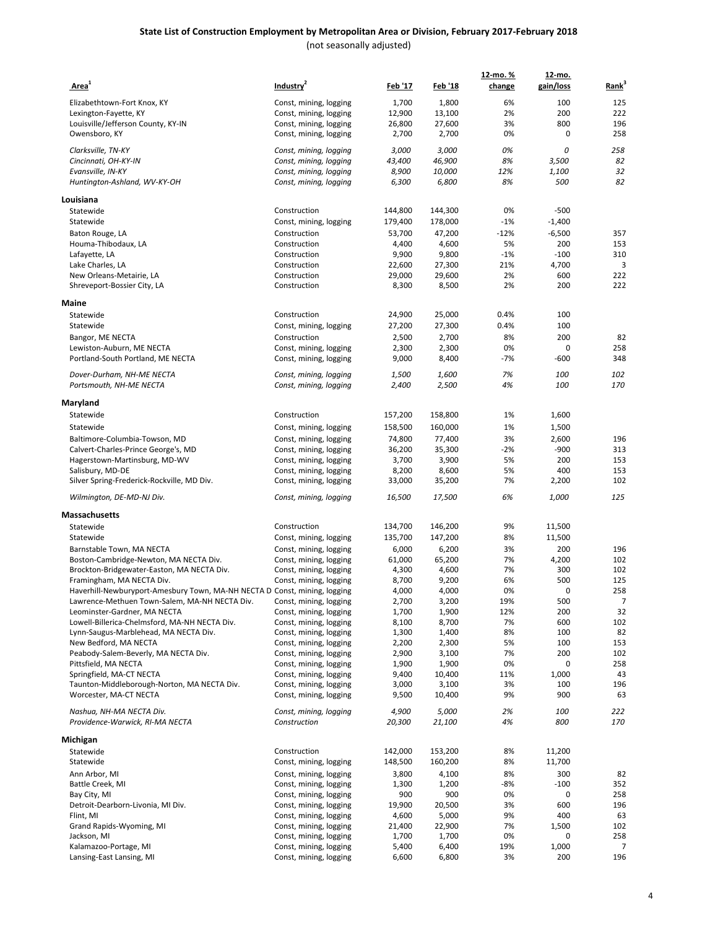| Area <sup>1</sup>                                                         | Industry <sup>2</sup>                            | <u>Feb '17</u> | Feb '18         | 12-mo. %<br>change | 12-mo.<br>gain/loss | Rank <sup>3</sup> |
|---------------------------------------------------------------------------|--------------------------------------------------|----------------|-----------------|--------------------|---------------------|-------------------|
| Elizabethtown-Fort Knox, KY                                               | Const, mining, logging                           | 1,700          | 1,800           | 6%                 | 100                 | 125               |
| Lexington-Fayette, KY                                                     | Const, mining, logging                           | 12,900         | 13,100          | 2%                 | 200                 | 222               |
| Louisville/Jefferson County, KY-IN                                        | Const, mining, logging                           | 26,800         | 27,600          | 3%                 | 800                 | 196               |
| Owensboro, KY                                                             | Const, mining, logging                           | 2,700          | 2,700           | 0%                 | 0                   | 258               |
| Clarksville, TN-KY                                                        | Const, mining, logging                           | 3,000          | 3,000           | 0%                 | 0                   | 258               |
| Cincinnati, OH-KY-IN                                                      | Const, mining, logging                           | 43,400         | 46,900          | 8%                 | 3,500               | 82                |
| Evansville, IN-KY                                                         | Const, mining, logging                           | 8,900          | 10,000          | 12%                | 1,100               | 32                |
| Huntington-Ashland, WV-KY-OH                                              | Const, mining, logging                           | 6,300          | 6,800           | 8%                 | 500                 | 82                |
| Louisiana                                                                 |                                                  |                |                 |                    |                     |                   |
| Statewide                                                                 | Construction                                     | 144,800        | 144,300         | 0%                 | $-500$              |                   |
| Statewide                                                                 | Const, mining, logging                           | 179,400        | 178,000         | $-1%$              | $-1,400$            |                   |
| Baton Rouge, LA                                                           | Construction                                     | 53,700         | 47,200          | $-12%$             | $-6,500$            | 357               |
| Houma-Thibodaux, LA                                                       | Construction                                     | 4,400          | 4,600           | 5%                 | 200                 | 153               |
| Lafayette, LA                                                             | Construction                                     | 9,900          | 9,800           | $-1%$              | $-100$              | 310               |
| Lake Charles, LA                                                          | Construction                                     | 22,600         | 27,300          | 21%                | 4,700               | 3                 |
| New Orleans-Metairie, LA                                                  | Construction                                     | 29,000         | 29,600          | 2%                 | 600                 | 222               |
| Shreveport-Bossier City, LA                                               | Construction                                     | 8,300          | 8,500           | 2%                 | 200                 | 222               |
| Maine                                                                     |                                                  |                |                 |                    |                     |                   |
| Statewide                                                                 | Construction                                     | 24,900         | 25,000          | 0.4%               | 100                 |                   |
| Statewide                                                                 | Const, mining, logging                           | 27,200         | 27,300          | 0.4%               | 100                 |                   |
| Bangor, ME NECTA                                                          | Construction                                     | 2,500          | 2,700           | 8%                 | 200                 | 82                |
| Lewiston-Auburn, ME NECTA                                                 | Const, mining, logging                           | 2,300          | 2,300           | 0%                 | 0                   | 258               |
| Portland-South Portland, ME NECTA                                         | Const, mining, logging                           | 9,000          | 8,400           | $-7%$              | $-600$              | 348               |
| Dover-Durham, NH-ME NECTA                                                 | Const, mining, logging                           | 1,500          | <i>1,600</i>    | 7%                 | 100                 | 102               |
| Portsmouth, NH-ME NECTA                                                   | Const, mining, logging                           | 2,400          | 2,500           | 4%                 | 100                 | 170               |
| Maryland                                                                  |                                                  |                |                 |                    |                     |                   |
| Statewide                                                                 | Construction                                     | 157,200        | 158,800         | 1%                 | 1,600               |                   |
| Statewide                                                                 | Const, mining, logging                           | 158,500        | 160,000         | 1%                 | 1,500               |                   |
| Baltimore-Columbia-Towson, MD                                             | Const, mining, logging                           | 74,800         | 77,400          | 3%                 | 2,600               | 196               |
| Calvert-Charles-Prince George's, MD                                       | Const, mining, logging                           | 36,200         | 35,300          | $-2%$              | $-900$              | 313               |
| Hagerstown-Martinsburg, MD-WV                                             | Const, mining, logging                           | 3,700          | 3,900           | 5%                 | 200                 | 153               |
| Salisbury, MD-DE                                                          | Const, mining, logging                           | 8,200          | 8,600           | 5%                 | 400                 | 153               |
| Silver Spring-Frederick-Rockville, MD Div.                                | Const, mining, logging                           | 33,000         | 35,200          | 7%                 | 2,200               | 102               |
| Wilmington, DE-MD-NJ Div.                                                 | Const, mining, logging                           | 16,500         | 17,500          | 6%                 | 1,000               | 125               |
| Massachusetts                                                             |                                                  |                |                 |                    |                     |                   |
| Statewide                                                                 | Construction                                     | 134,700        | 146,200         | 9%                 | 11,500              |                   |
| Statewide                                                                 | Const, mining, logging                           | 135,700        | 147,200         | 8%                 | 11,500              |                   |
| Barnstable Town, MA NECTA                                                 | Const, mining, logging                           | 6,000          | 6,200           | 3%                 | 200                 | 196               |
| Boston-Cambridge-Newton, MA NECTA Div.                                    | Const, mining, logging                           | 61,000         | 65,200          | 7%                 | 4,200               | 102               |
| Brockton-Bridgewater-Easton, MA NECTA Div.                                | Const, mining, logging                           | 4,300          | 4,600           | 7%                 | 300                 | 102               |
| Framingham, MA NECTA Div.                                                 | Const, mining, logging                           | 8,700          | 9,200           | 6%                 | 500                 | 125               |
| Haverhill-Newburyport-Amesbury Town, MA-NH NECTA D Const, mining, logging |                                                  | 4,000          | 4,000           | 0%                 | $\Omega$            | 258               |
| Lawrence-Methuen Town-Salem, MA-NH NECTA Div.                             | Const, mining, logging                           | 2,700          | 3,200           | 19%                | 500                 | 7                 |
| Leominster-Gardner, MA NECTA                                              | Const, mining, logging                           | 1,700          | 1,900           | 12%                | 200                 | 32                |
| Lowell-Billerica-Chelmsford, MA-NH NECTA Div.                             | Const, mining, logging                           | 8,100          | 8,700           | 7%                 | 600                 | 102               |
| Lynn-Saugus-Marblehead, MA NECTA Div.                                     | Const, mining, logging                           | 1,300          | 1,400           | 8%                 | 100                 | 82                |
| New Bedford, MA NECTA                                                     | Const, mining, logging                           | 2,200          | 2,300           | 5%                 | 100                 | 153               |
| Peabody-Salem-Beverly, MA NECTA Div.                                      | Const, mining, logging                           | 2,900          | 3,100           | 7%                 | 200                 | 102               |
| Pittsfield, MA NECTA                                                      | Const, mining, logging                           | 1,900          | 1,900           | 0%                 | 0                   | 258               |
| Springfield, MA-CT NECTA                                                  | Const, mining, logging                           | 9,400          | 10,400          | 11%                | 1,000               | 43                |
| Taunton-Middleborough-Norton, MA NECTA Div.<br>Worcester, MA-CT NECTA     | Const, mining, logging<br>Const, mining, logging | 3,000<br>9,500 | 3,100<br>10,400 | 3%<br>9%           | 100<br>900          | 196<br>63         |
| Nashua, NH-MA NECTA Div.                                                  |                                                  | 4,900          |                 | 2%                 | 100                 |                   |
| Providence-Warwick, RI-MA NECTA                                           | Const, mining, logging<br>Construction           | 20,300         | 5,000<br>21,100 | 4%                 | 800                 | 222<br>170        |
| Michigan                                                                  |                                                  |                |                 |                    |                     |                   |
| Statewide                                                                 | Construction                                     | 142,000        | 153,200         | 8%                 | 11,200              |                   |
| Statewide                                                                 | Const, mining, logging                           | 148,500        | 160,200         | 8%                 | 11,700              |                   |
| Ann Arbor, MI                                                             | Const, mining, logging                           | 3,800          | 4,100           | 8%                 | 300                 | 82                |
| Battle Creek, MI                                                          | Const, mining, logging                           | 1,300          | 1,200           | -8%                | $-100$              | 352               |
| Bay City, MI                                                              | Const, mining, logging                           | 900            | 900             | 0%                 | 0                   | 258               |
| Detroit-Dearborn-Livonia, MI Div.                                         | Const, mining, logging                           | 19,900         | 20,500          | 3%                 | 600                 | 196               |
| Flint, MI                                                                 | Const, mining, logging                           | 4,600          | 5,000           | 9%                 | 400                 | 63                |
| Grand Rapids-Wyoming, MI                                                  | Const, mining, logging                           | 21,400         | 22,900          | 7%                 | 1,500               | 102               |
| Jackson, MI                                                               | Const, mining, logging                           | 1,700          | 1,700           | 0%                 | 0                   | 258               |
| Kalamazoo-Portage, MI                                                     | Const, mining, logging                           | 5,400          | 6,400           | 19%                | 1,000               | 7                 |
| Lansing-East Lansing, MI                                                  | Const, mining, logging                           | 6,600          | 6,800           | 3%                 | 200                 | 196               |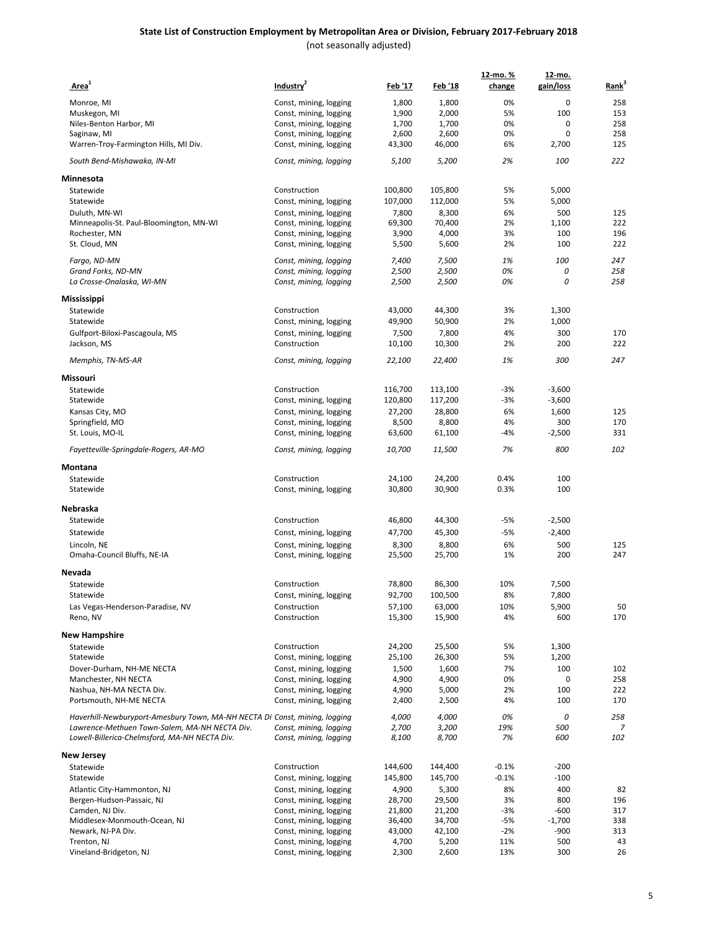| Area <sup>1</sup>                                                          | Industry <sup>2</sup>                            | <u>Feb '17</u> | <u>Feb '18</u> | 12-mo. %<br>change | 12-mo.<br>gain/loss | Rank <sup>3</sup> |
|----------------------------------------------------------------------------|--------------------------------------------------|----------------|----------------|--------------------|---------------------|-------------------|
|                                                                            |                                                  | 1,800          |                | 0%                 | $\mathbf 0$         | 258               |
| Monroe, MI                                                                 | Const, mining, logging                           |                | 1,800          | 5%                 | 100                 | 153               |
| Muskegon, MI<br>Niles-Benton Harbor, MI                                    | Const, mining, logging<br>Const, mining, logging | 1,900<br>1,700 | 2,000<br>1,700 | 0%                 | 0                   | 258               |
| Saginaw, MI                                                                | Const, mining, logging                           | 2,600          | 2,600          | 0%                 | $\mathbf 0$         | 258               |
| Warren-Troy-Farmington Hills, MI Div.                                      | Const, mining, logging                           | 43,300         | 46,000         | 6%                 | 2,700               | 125               |
| South Bend-Mishawaka, IN-MI                                                | Const, mining, logging                           | 5,100          | 5,200          | 2%                 | 100                 | 222               |
| Minnesota                                                                  |                                                  |                |                |                    |                     |                   |
| Statewide                                                                  | Construction                                     | 100,800        | 105,800        | 5%                 | 5,000               |                   |
| Statewide                                                                  | Const, mining, logging                           | 107,000        | 112,000        | 5%                 | 5,000               |                   |
| Duluth, MN-WI                                                              | Const, mining, logging                           | 7,800          | 8,300          | 6%                 | 500                 | 125               |
| Minneapolis-St. Paul-Bloomington, MN-WI                                    | Const, mining, logging                           | 69,300         | 70,400         | 2%                 | 1,100               | 222               |
| Rochester, MN                                                              | Const, mining, logging                           | 3,900          | 4,000          | 3%                 | 100                 | 196               |
| St. Cloud, MN                                                              | Const, mining, logging                           | 5,500          | 5,600          | 2%                 | 100                 | 222               |
| Fargo, ND-MN                                                               | Const, mining, logging                           | 7,400          | 7,500          | 1%                 | 100                 | 247               |
| Grand Forks, ND-MN                                                         | Const, mining, logging                           | 2,500          | 2,500          | 0%                 | 0                   | 258               |
| La Crosse-Onalaska, WI-MN                                                  | Const, mining, logging                           | 2,500          | 2,500          | 0%                 | 0                   | 258               |
| Mississippi                                                                |                                                  |                |                |                    |                     |                   |
| Statewide                                                                  | Construction                                     | 43,000         | 44,300         | 3%                 | 1,300               |                   |
| Statewide                                                                  | Const, mining, logging                           | 49,900         | 50,900         | 2%                 | 1,000               |                   |
| Gulfport-Biloxi-Pascagoula, MS                                             | Const, mining, logging                           | 7,500          | 7,800          | 4%                 | 300                 | 170               |
| Jackson, MS                                                                | Construction                                     | 10,100         | 10,300         | 2%                 | 200                 | 222               |
| Memphis, TN-MS-AR                                                          | Const, mining, logging                           | 22,100         | 22,400         | 1%                 | 300                 | 247               |
| Missouri                                                                   |                                                  |                |                |                    |                     |                   |
| Statewide                                                                  | Construction                                     | 116,700        | 113,100        | -3%                | $-3,600$            |                   |
| Statewide                                                                  | Const, mining, logging                           | 120,800        | 117,200        | -3%                | $-3,600$            |                   |
| Kansas City, MO                                                            | Const, mining, logging                           | 27,200         | 28,800         | 6%                 | 1,600               | 125               |
| Springfield, MO                                                            | Const, mining, logging                           | 8,500          | 8,800          | 4%                 | 300                 | 170               |
| St. Louis, MO-IL                                                           | Const, mining, logging                           | 63,600         | 61,100         | -4%                | $-2,500$            | 331               |
| Fayetteville-Springdale-Rogers, AR-MO                                      | Const, mining, logging                           | 10,700         | 11,500         | 7%                 | 800                 | 102               |
| Montana                                                                    |                                                  |                |                |                    |                     |                   |
| Statewide                                                                  | Construction                                     | 24,100         | 24,200         | 0.4%               | 100                 |                   |
| Statewide                                                                  | Const, mining, logging                           | 30,800         | 30,900         | 0.3%               | 100                 |                   |
| Nebraska                                                                   |                                                  |                |                |                    |                     |                   |
| Statewide                                                                  | Construction                                     | 46,800         | 44,300         | -5%                | $-2,500$            |                   |
| Statewide                                                                  | Const, mining, logging                           | 47,700         | 45,300         | -5%                | $-2,400$            |                   |
| Lincoln, NE                                                                | Const, mining, logging                           | 8,300          | 8,800          | 6%                 | 500                 | 125               |
| Omaha-Council Bluffs, NE-IA                                                | Const, mining, logging                           | 25,500         | 25,700         | 1%                 | 200                 | 247               |
| Nevada                                                                     |                                                  |                |                |                    |                     |                   |
| Statewide                                                                  | Construction                                     | 78,800         | 86,300         | 10%                | 7,500               |                   |
| Statewide                                                                  | Const, mining, logging                           | 92,700         | 100,500        | 8%                 | 7,800               |                   |
| Las Vegas-Henderson-Paradise, NV                                           | Construction                                     | 57,100         | 63,000         | 10%                | 5,900               | 50                |
| Reno, NV                                                                   | Construction                                     | 15,300         | 15,900         | 4%                 | 600                 | 170               |
| New Hampshire                                                              |                                                  |                |                |                    |                     |                   |
| Statewide                                                                  | Construction                                     | 24,200         | 25,500         | 5%                 | 1,300               |                   |
| Statewide                                                                  | Const, mining, logging                           | 25,100         | 26,300         | 5%                 | 1,200               |                   |
| Dover-Durham, NH-ME NECTA                                                  | Const, mining, logging                           | 1,500          | 1,600          | 7%                 | 100                 | 102               |
| Manchester, NH NECTA                                                       | Const, mining, logging                           | 4,900          | 4,900          | 0%                 | 0                   | 258               |
| Nashua, NH-MA NECTA Div.                                                   | Const, mining, logging                           | 4,900          | 5,000          | 2%                 | 100                 | 222               |
| Portsmouth, NH-ME NECTA                                                    | Const, mining, logging                           | 2,400          | 2,500          | 4%                 | 100                 | 170               |
| Haverhill-Newburyport-Amesbury Town, MA-NH NECTA Di Const, mining, logging |                                                  | 4,000          | 4,000          | 0%                 | 0                   | 258               |
| Lawrence-Methuen Town-Salem, MA-NH NECTA Div.                              | Const, mining, logging                           | 2,700          | 3,200          | 19%                | 500                 |                   |
| Lowell-Billerica-Chelmsford, MA-NH NECTA Div.                              | Const, mining, logging                           | 8,100          | 8,700          | 7%                 | 600                 | 102               |
| New Jersey                                                                 |                                                  |                |                |                    |                     |                   |
| Statewide                                                                  | Construction                                     | 144,600        | 144,400        | $-0.1%$            | $-200$              |                   |
| Statewide                                                                  | Const, mining, logging                           | 145,800        | 145,700        | $-0.1%$            | $-100$              |                   |
| Atlantic City-Hammonton, NJ                                                | Const, mining, logging                           | 4,900          | 5,300          | 8%                 | 400                 | 82                |
| Bergen-Hudson-Passaic, NJ                                                  | Const, mining, logging                           | 28,700         | 29,500         | 3%                 | 800                 | 196               |
| Camden, NJ Div.                                                            | Const, mining, logging                           | 21,800         | 21,200         | -3%                | $-600$              | 317               |
| Middlesex-Monmouth-Ocean, NJ                                               | Const, mining, logging                           | 36,400         | 34,700         | $-5%$              | $-1,700$            | 338               |
| Newark, NJ-PA Div.                                                         | Const, mining, logging                           | 43,000         | 42,100         | $-2%$              | $-900$              | 313               |
| Trenton, NJ                                                                | Const, mining, logging                           | 4,700          | 5,200          | 11%                | 500                 | 43                |
| Vineland-Bridgeton, NJ                                                     | Const, mining, logging                           | 2,300          | 2,600          | 13%                | 300                 | 26                |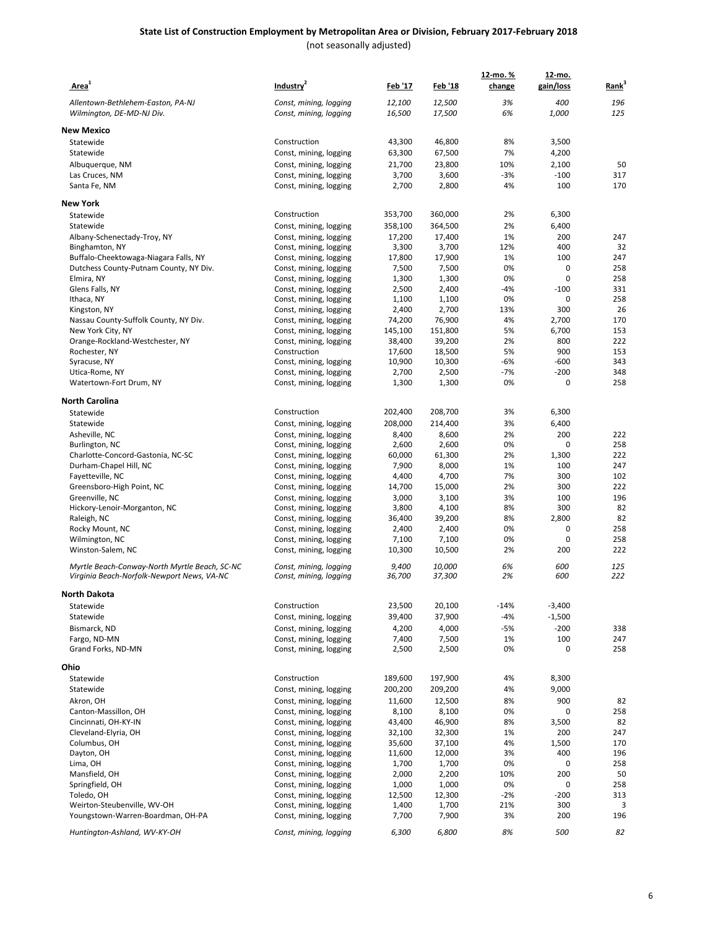| Area <sup>1</sup>                                                                           | Industry <sup>2</sup>                            | <u>Feb '17</u>  | <u>Feb '18</u>   | <u>12-mo. %</u><br>change | 12-mo.<br>gain/loss | Rank <sup>3</sup> |
|---------------------------------------------------------------------------------------------|--------------------------------------------------|-----------------|------------------|---------------------------|---------------------|-------------------|
| Allentown-Bethlehem-Easton, PA-NJ                                                           | Const, mining, logging                           | 12,100          | 12,500           | 3%                        | 400                 | 196               |
| Wilmington, DE-MD-NJ Div.                                                                   | Const, mining, logging                           | 16,500          | 17,500           | 6%                        | 1,000               | 125               |
| <b>New Mexico</b>                                                                           |                                                  |                 |                  |                           |                     |                   |
| Statewide                                                                                   | Construction                                     | 43,300          | 46,800           | 8%                        | 3,500               |                   |
| Statewide                                                                                   | Const, mining, logging                           | 63,300          | 67,500           | 7%                        | 4,200               |                   |
| Albuquerque, NM                                                                             | Const, mining, logging                           | 21,700          | 23,800           | 10%                       | 2,100               | 50                |
| Las Cruces, NM                                                                              | Const, mining, logging                           | 3,700           | 3,600            | $-3%$                     | $-100$              | 317               |
| Santa Fe, NM                                                                                | Const, mining, logging                           | 2,700           | 2,800            | 4%                        | 100                 | 170               |
| <b>New York</b>                                                                             |                                                  |                 |                  |                           |                     |                   |
| Statewide                                                                                   | Construction                                     | 353,700         | 360,000          | 2%                        | 6,300               |                   |
| Statewide                                                                                   | Const, mining, logging                           | 358,100         | 364,500          | 2%                        | 6,400               |                   |
| Albany-Schenectady-Troy, NY                                                                 | Const, mining, logging                           | 17,200          | 17,400           | 1%                        | 200                 | 247               |
| Binghamton, NY                                                                              | Const, mining, logging                           | 3,300           | 3,700            | 12%                       | 400                 | 32                |
| Buffalo-Cheektowaga-Niagara Falls, NY                                                       | Const, mining, logging                           | 17,800          | 17,900           | 1%                        | 100                 | 247               |
| Dutchess County-Putnam County, NY Div.                                                      | Const, mining, logging                           | 7,500           | 7,500            | 0%                        | 0                   | 258               |
| Elmira, NY                                                                                  | Const, mining, logging                           | 1,300           | 1,300            | 0%                        | 0                   | 258               |
| Glens Falls, NY                                                                             | Const, mining, logging                           | 2,500           | 2,400            | $-4%$                     | $-100$              | 331               |
| Ithaca, NY                                                                                  | Const, mining, logging                           | 1,100           | 1,100            | 0%                        | 0                   | 258<br>26         |
| Kingston, NY<br>Nassau County-Suffolk County, NY Div.                                       | Const, mining, logging<br>Const, mining, logging | 2,400<br>74,200 | 2,700<br>76,900  | 13%<br>4%                 | 300<br>2,700        | 170               |
| New York City, NY                                                                           | Const, mining, logging                           | 145,100         | 151,800          | 5%                        | 6,700               | 153               |
| Orange-Rockland-Westchester, NY                                                             | Const, mining, logging                           | 38,400          | 39,200           | 2%                        | 800                 | 222               |
| Rochester, NY                                                                               | Construction                                     | 17,600          | 18,500           | 5%                        | 900                 | 153               |
| Syracuse, NY                                                                                | Const, mining, logging                           | 10,900          | 10,300           | $-6%$                     | $-600$              | 343               |
| Utica-Rome, NY                                                                              | Const, mining, logging                           | 2,700           | 2,500            | $-7%$                     | $-200$              | 348               |
| Watertown-Fort Drum, NY                                                                     | Const, mining, logging                           | 1,300           | 1,300            | 0%                        | 0                   | 258               |
| North Carolina                                                                              |                                                  |                 |                  |                           |                     |                   |
| Statewide                                                                                   | Construction                                     | 202,400         | 208,700          | 3%                        | 6,300               |                   |
| Statewide                                                                                   | Const, mining, logging                           | 208,000         | 214,400          | 3%                        | 6,400               |                   |
| Asheville, NC                                                                               | Const, mining, logging                           | 8,400           | 8,600            | 2%                        | 200                 | 222               |
| Burlington, NC                                                                              | Const, mining, logging                           | 2,600           | 2,600            | 0%                        | 0                   | 258               |
| Charlotte-Concord-Gastonia, NC-SC                                                           | Const, mining, logging                           | 60,000          | 61,300           | 2%                        | 1,300               | 222               |
| Durham-Chapel Hill, NC                                                                      | Const, mining, logging                           | 7,900           | 8,000            | 1%                        | 100                 | 247               |
| Fayetteville, NC                                                                            | Const, mining, logging                           | 4,400           | 4,700            | 7%                        | 300                 | 102               |
| Greensboro-High Point, NC                                                                   | Const, mining, logging                           | 14,700          | 15,000           | 2%                        | 300                 | 222               |
| Greenville, NC                                                                              | Const, mining, logging                           | 3,000           | 3,100            | 3%                        | 100                 | 196               |
| Hickory-Lenoir-Morganton, NC                                                                | Const, mining, logging                           | 3,800           | 4,100            | 8%                        | 300                 | 82                |
| Raleigh, NC                                                                                 | Const, mining, logging                           | 36,400          | 39,200           | 8%<br>0%                  | 2,800<br>0          | 82<br>258         |
| Rocky Mount, NC<br>Wilmington, NC                                                           | Const, mining, logging<br>Const, mining, logging | 2,400<br>7,100  | 2,400<br>7,100   | 0%                        | 0                   | 258               |
| Winston-Salem, NC                                                                           | Const, mining, logging                           | 10,300          | 10,500           | 2%                        | 200                 | 222               |
|                                                                                             |                                                  |                 |                  |                           |                     |                   |
| Myrtle Beach-Conway-North Myrtle Beach, SC-NC<br>Virginia Beach-Norfolk-Newport News, VA-NC | Const, mining, logging<br>Const, mining, logging | 9,400<br>36,700 | 10,000<br>37,300 | 6%<br>2%                  | 600<br>600          | 125<br>222        |
|                                                                                             |                                                  |                 |                  |                           |                     |                   |
| North Dakota<br>Statewide                                                                   | Construction                                     | 23,500          | 20,100           | $-14%$                    | $-3,400$            |                   |
| Statewide                                                                                   | Const, mining, logging                           | 39,400          | 37,900           | $-4%$                     | $-1,500$            |                   |
| Bismarck, ND                                                                                | Const, mining, logging                           | 4,200           | 4,000            | $-5%$                     | $-200$              | 338               |
| Fargo, ND-MN                                                                                | Const, mining, logging                           | 7,400           | 7,500            | 1%                        | 100                 | 247               |
| Grand Forks, ND-MN                                                                          | Const, mining, logging                           | 2,500           | 2,500            | 0%                        | 0                   | 258               |
| Ohio                                                                                        |                                                  |                 |                  |                           |                     |                   |
| Statewide                                                                                   | Construction                                     | 189,600         | 197,900          | 4%                        | 8,300               |                   |
| Statewide                                                                                   | Const, mining, logging                           | 200,200         | 209,200          | 4%                        | 9,000               |                   |
| Akron, OH                                                                                   | Const, mining, logging                           | 11,600          | 12,500           | 8%                        | 900                 | 82                |
| Canton-Massillon, OH                                                                        | Const, mining, logging                           | 8,100           | 8,100            | 0%                        | 0                   | 258               |
| Cincinnati, OH-KY-IN                                                                        | Const, mining, logging                           | 43,400          | 46,900           | 8%                        | 3,500               | 82                |
| Cleveland-Elyria, OH                                                                        | Const, mining, logging                           | 32,100          | 32,300           | 1%                        | 200                 | 247               |
| Columbus, OH                                                                                | Const, mining, logging                           | 35,600          | 37,100           | 4%                        | 1,500               | 170               |
| Dayton, OH                                                                                  | Const, mining, logging                           | 11,600          | 12,000           | 3%                        | 400                 | 196               |
| Lima, OH                                                                                    | Const, mining, logging                           | 1,700           | 1,700            | 0%                        | 0                   | 258               |
| Mansfield, OH                                                                               | Const, mining, logging                           | 2,000           | 2,200            | 10%                       | 200                 | 50                |
| Springfield, OH                                                                             | Const, mining, logging                           | 1,000           | 1,000            | 0%                        | 0                   | 258               |
| Toledo, OH                                                                                  | Const, mining, logging                           | 12,500          | 12,300           | $-2%$                     | $-200$              | 313               |
| Weirton-Steubenville, WV-OH                                                                 | Const, mining, logging                           | 1,400           | 1,700            | 21%                       | 300                 | 3                 |
| Youngstown-Warren-Boardman, OH-PA                                                           | Const, mining, logging                           | 7,700           | 7,900            | 3%                        | 200                 | 196               |
| Huntington-Ashland, WV-KY-OH                                                                | Const, mining, logging                           | 6,300           | 6,800            | 8%                        | 500                 | 82                |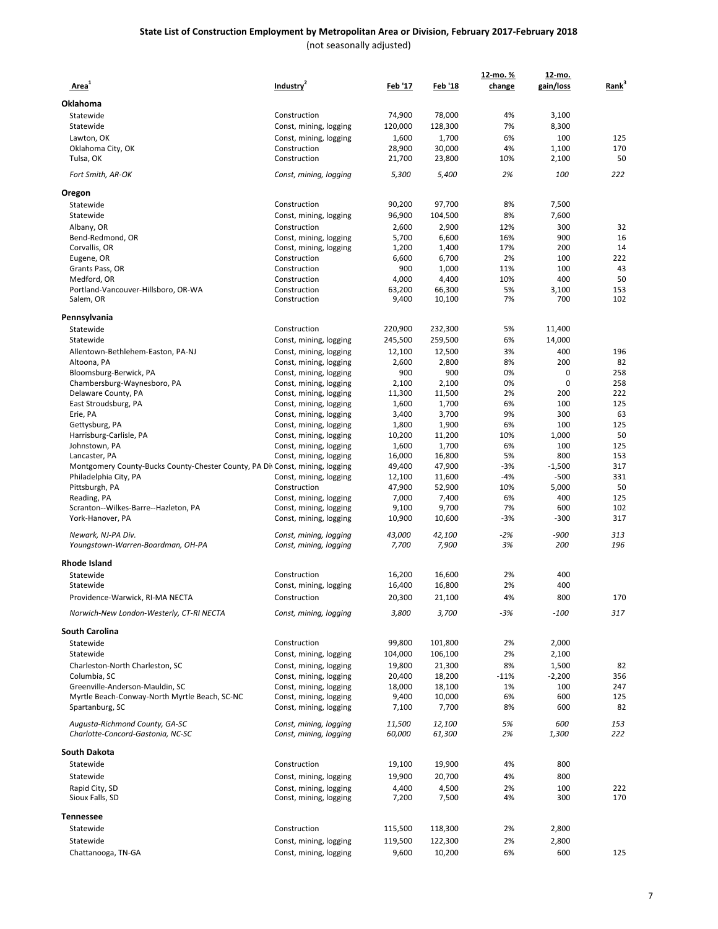#### **State List of Construction Employment by Metropolitan Area or Division, February 2017-February 2018** (not seasonally adjusted)

 **Area1 Industry<sup>2</sup> Feb '17 Feb '18 12-mo. % change 12-mo. gain/loss Rank3 Oklahoma** Statewide Construction 74,900 78,000 4% 3,100 Statewide Const, mining, logging 120,000 128,300 7% 8,300 Lawton, OK Const, mining, logging 1,600 1,700 6% 100 125<br>125 Dklahoma City. OK Construction 28.900 30.000 4% 1.100 170 Oklahoma City, OK Tulsa, OK Construction 21,700 23,800 10% 2,100 50 *Fort Smith, AR-OK Const, mining, logging 5,300 5,400 2% 100 222* **Oregon** Statewide Construction 90,200 97,700 8% 7,500 Statewide Const, mining, logging 96,900 104,500 8% 7,600 Albany, OR Construction 2,600 2,900 12% 300 32 Bend-Redmond, OR Const, mining, logging 5,700 6,600 16% 900 16 Const, mining, logging 1,200 1,400 17% 200 14 Eugene, OR Construction 6,600 6,700 2% 100 222 Grants Pass, OR Construction 900 1,000 11% 100 43 Medford, OR Construction 4,000 4,400 10% 400 5C Portland-Vancouver-Hillsboro, OR-WA Construction 63,200 66,300 5% 3,100 153<br>Salem, OR Construction 9,400 10,100 7% 700 102 Salem, OR Construction 9,400 10,100 7% 700 102 **Pennsylvania** Statewide Construction 220,900 232,300 5% 11,400 Statewide Const, mining, logging 245,500 259,500 6% 14,000 Allentown-Bethlehem-Easton, PA-NJ Const, mining, logging 12,100 12,500 3% 400 196<br>Altoona, PA 200 82 Const, mining, logging 2,600 2,800 8% 200 82<br>
Const, mining, logging 900 900 0% 0 258 Bloomsburg-Berwick, PA Const Const, mining, logging 900 900 0% 0 258<br>
Chambersburg-Waynesboro, PA Const, mining, logging 2,100 2,100 0% 0 258 Chambersburg-Waynesboro, PA Const, mining, logging 2,100 2,100 0% 0 258<br>
Const, mining, logging 11,300 11,500 2% 200 222 Delaware County, PA East Stroudsburg, PA Const, mining, logging 1,600 1,700 6% 100 125 Erie, PA **Const, mining, logging 3,400** 3,700 9% 300 63 Gettysburg, PA **CONSET CONSTRAINED ASSESS** Const, mining, logging 1,800 1,900 6% 100 125 Harrisburg-Carlisle, PA **CONSET CONSTANDIES (10,200** 11,200 10% 1,000 50<br>19 Johnstown, PA Const, mining, logging 1,600 1,700 6% 100 125 Const, mining, logging 1,600 1,700 6% 100 125<br>
Const. mining. logging 16.000 16.800 5% 800 153 Lancaster, PA 800 153<br>Montgomery County-Bucks County-Chester County, PA Div Const, mining, logging 49,400 47,900 -3% -1,500 317 Montgomery County-Bucks County-Chester County, PA Div Const, mining, logging Philadelphia City, PA Const, mining, logging 12,100 11,600 -4% -500 331 Pittsburgh, PA Construction 47,900 52,900 10% 5,000 50 Reading, PA Const, mining, logging 7,000 7,400 6% 400 125<br>102 Scranton--Wilkes-Barre--Hazleton, PA Const, mining, logging 9,100 9,700 7% 600 102 Scranton--Wilkes-Barre--Hazleton, PA Const, mining, logging 9,100 9,700<br>
York-Hanover, PA Const, mining, logging 10,900 10.600 York-Hanover, PA Const, mining, logging 10,900 10,600 -3% -300 317 *Newark, NJ-PA Div. Const, mining, logging 43,000 42,100 -2% -900 313 Youngstown-Warren-Boardman, OH-PA* **Rhode Island** Statewide Construction 16,200 16,600 2% 400 Statewide **Const, mining, logging** 16,400 16,800 2% 400 Providence-Warwick, RI-MA NECTA **Construction** 20,300 21,100 4% 800 170 *Norwich-New London-Westerly, CT-RI NECTA Const, mining, logging 3,800 3,700 -3% -100 317* **South Carolina** Statewide Construction 99,800 101,800 2% 2,000 Statewide **Const, mining, logging** 104,000 106,100 2% 2,100 Charleston-North Charleston, SC Const, mining, logging 19,800 21,300 8% 1,500 82 Columbia, SC Const, mining, logging 20,400 18,200 -11% -2,200 356<br>Greenville-Anderson-Mauldin, SC Const, mining, logging 18,000 18,100 1% 100 247 Greenville-Anderson-Mauldin, SC Const, mining, logging 18,000 18,100 1% 100 247<br>Myrtle Beach-Conway-North Myrtle Beach, SC-NC Const, mining, logging 9,400 10,000 6% 600 125 Myrtle Beach-Conway-North Myrtle Beach, SC-NC Spartanburg, SC 600 682 Const, mining, logging 7,100 7,700 8% 600 82 *Augusta-Richmond County, GA-SC Const, mining, logging 11,500 12,100 5% 600 153 Charlotte-Concord-Gastonia, NC-SC Const, mining, logging 60,000 61,300 2% 1,300 222* **South Dakota** Statewide Construction 19,100 19,900 4% 800 Statewide **Const, mining, logging** 19,900 20,700 4% 800 Rapid City, SD Const, mining, logging 4,400 4,500 2% 100 222 Const, mining, logging **Tennessee** Statewide Construction 115,500 118,300 2% 2,800 Statewide **Const, mining, logging** 119,500 122,300 2% 2,800 Chattanooga, TN-GA Constanting, logging 9,600 10,200 6% 600 125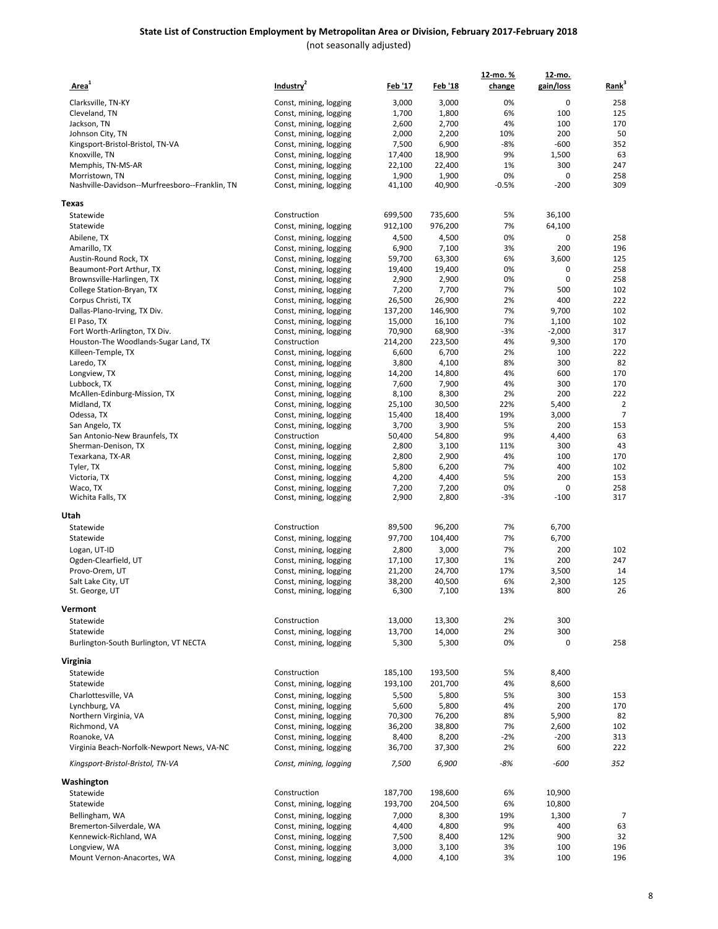| Area <sup>1</sup>                              | Industry <sup>2</sup>  | <u>Feb '17</u>  | <u>Feb '18</u> | 12-mo. %<br>change | 12-mo.<br>gain/loss | Rank <sup>3</sup> |
|------------------------------------------------|------------------------|-----------------|----------------|--------------------|---------------------|-------------------|
|                                                |                        |                 |                |                    |                     |                   |
| Clarksville, TN-KY                             | Const, mining, logging | 3,000           | 3,000          | 0%                 | 0                   | 258               |
| Cleveland, TN                                  | Const, mining, logging | 1,700           | 1,800          | 6%                 | 100                 | 125               |
| Jackson, TN                                    | Const, mining, logging | 2,600           | 2,700          | 4%                 | 100                 | 170               |
| Johnson City, TN                               | Const, mining, logging | 2,000           | 2,200          | 10%                | 200                 | 50                |
| Kingsport-Bristol-Bristol, TN-VA               | Const, mining, logging | 7,500           | 6,900          | -8%                | $-600$              | 352               |
| Knoxville, TN                                  | Const, mining, logging | 17,400          | 18,900         | 9%                 | 1,500               | 63                |
| Memphis, TN-MS-AR                              | Const, mining, logging | 22,100          | 22,400         | 1%                 | 300                 | 247               |
| Morristown, TN                                 | Const, mining, logging | 1,900           | 1,900          | 0%                 | 0                   | 258               |
| Nashville-Davidson--Murfreesboro--Franklin, TN | Const, mining, logging | 41,100          | 40,900         | $-0.5%$            | $-200$              | 309               |
| Texas                                          |                        |                 |                |                    |                     |                   |
| Statewide                                      | Construction           | 699,500         | 735,600        | 5%                 | 36,100              |                   |
| Statewide                                      | Const, mining, logging | 912,100         | 976,200        | 7%                 | 64,100              |                   |
| Abilene, TX                                    | Const, mining, logging | 4,500           | 4,500          | 0%                 | 0                   | 258               |
| Amarillo, TX                                   | Const, mining, logging | 6,900           | 7,100          | 3%                 | 200                 | 196               |
| Austin-Round Rock, TX                          | Const, mining, logging | 59,700          | 63,300         | 6%                 | 3,600               | 125               |
| Beaumont-Port Arthur, TX                       | Const, mining, logging | 19,400          | 19,400         | 0%                 | 0                   | 258               |
| Brownsville-Harlingen, TX                      | Const, mining, logging | 2,900           | 2,900          | 0%                 | $\mathbf 0$         | 258               |
| College Station-Bryan, TX                      | Const, mining, logging | 7,200           | 7,700          | 7%                 | 500                 | 102               |
| Corpus Christi, TX                             | Const, mining, logging | 26,500          | 26,900         | 2%                 | 400                 | 222               |
| Dallas-Plano-Irving, TX Div.                   | Const, mining, logging | 137,200         | 146,900        | 7%                 | 9,700               | 102               |
| El Paso, TX                                    | Const, mining, logging | 15,000          | 16,100         | 7%                 | 1,100               | 102               |
| Fort Worth-Arlington, TX Div.                  | Const, mining, logging | 70,900          | 68,900         | $-3%$              | $-2,000$            | 317               |
| Houston-The Woodlands-Sugar Land, TX           | Construction           | 214,200         | 223,500        | 4%                 | 9,300               | 170               |
| Killeen-Temple, TX                             | Const, mining, logging | 6,600           | 6,700          | 2%                 | 100                 | 222               |
| Laredo, TX                                     | Const, mining, logging | 3,800           | 4,100          | 8%                 | 300                 | 82                |
| Longview, TX                                   | Const, mining, logging | 14,200          | 14,800         | 4%                 | 600                 | 170               |
| Lubbock, TX                                    | Const, mining, logging | 7,600           | 7,900          | 4%                 | 300                 | 170               |
| McAllen-Edinburg-Mission, TX                   | Const, mining, logging | 8,100           | 8,300          | 2%                 | 200                 | 222               |
| Midland, TX                                    | Const, mining, logging | 25,100          | 30,500         | 22%                | 5,400               | $\overline{2}$    |
| Odessa, TX                                     | Const, mining, logging | 15,400          | 18,400         | 19%                | 3,000               | 7                 |
| San Angelo, TX                                 | Const, mining, logging | 3,700           | 3,900          | 5%                 | 200                 | 153               |
| San Antonio-New Braunfels, TX                  | Construction           | 50,400          | 54,800         | 9%                 | 4,400               | 63                |
| Sherman-Denison, TX                            | Const, mining, logging | 2,800           | 3,100          | 11%                | 300                 | 43                |
| Texarkana, TX-AR                               | Const, mining, logging | 2,800           | 2,900          | 4%                 | 100                 | 170               |
| Tyler, TX                                      | Const, mining, logging | 5,800           | 6,200          | 7%                 | 400                 | 102               |
| Victoria, TX                                   | Const, mining, logging | 4,200           | 4,400          | 5%                 | 200                 | 153               |
| Waco, TX                                       | Const, mining, logging | 7,200           | 7,200          | 0%                 | 0                   | 258               |
| Wichita Falls, TX                              | Const, mining, logging | 2,900           | 2,800          | -3%                | $-100$              | 317               |
| Utah                                           |                        |                 |                |                    |                     |                   |
| Statewide                                      | Construction           | 89,500          | 96,200         | 7%                 | 6,700               |                   |
| Statewide                                      | Const, mining, logging | 97,700          | 104,400        | 7%                 | 6,700               |                   |
| Logan, UT-ID                                   | Const, mining, logging | 2,800           | 3,000          | 7%                 | 200                 | 102               |
| Ogden-Clearfield, UT                           | Const, mining, logging | 17,100          | 17,300         | 1%                 | 200                 | 247               |
| Provo-Orem, UT                                 | Const, mining, logging | 21,200          | 24,700         | 17%                | 3,500               | 14                |
| Salt Lake City, UT                             | Const, mining, logging | 38,200          | 40,500         | 6%                 | 2,300               | 125               |
| St. George, UT                                 | Const, mining, logging | 6,300           | 7,100          | 13%                | 800                 | 26                |
| Vermont                                        |                        |                 |                |                    |                     |                   |
| Statewide                                      | Construction           | 13,000          | 13,300         | 2%                 | 300                 |                   |
| Statewide                                      | Const, mining, logging | 13,700          | 14,000         | 2%                 | 300                 |                   |
| Burlington-South Burlington, VT NECTA          | Const, mining, logging | 5,300           | 5,300          | 0%                 | 0                   | 258               |
| Virginia                                       |                        |                 |                |                    |                     |                   |
| Statewide                                      | Construction           | 185,100         | 193,500        | 5%                 | 8,400               |                   |
| Statewide                                      | Const, mining, logging | 193,100         | 201,700        | 4%                 | 8,600               |                   |
| Charlottesville, VA                            | Const, mining, logging | 5,500           | 5,800          | 5%                 | 300                 | 153               |
| Lynchburg, VA                                  | Const, mining, logging | 5,600           | 5,800          | 4%                 | 200                 | 170               |
| Northern Virginia, VA                          | Const, mining, logging | 70,300          | 76,200         | 8%                 | 5,900               | 82                |
| Richmond, VA                                   | Const, mining, logging | 36,200          | 38,800         | 7%                 | 2,600               | 102               |
| Roanoke, VA                                    | Const, mining, logging |                 | 8,200          | $-2%$              | $-200$              | 313               |
| Virginia Beach-Norfolk-Newport News, VA-NC     | Const, mining, logging | 8,400<br>36,700 | 37,300         | 2%                 | 600                 | 222               |
| Kingsport-Bristol-Bristol, TN-VA               | Const, mining, logging | 7,500           | 6,900          | -8%                | -600                | 352               |
|                                                |                        |                 |                |                    |                     |                   |
| Washington<br>Statewide                        | Construction           | 187,700         | 198,600        | 6%                 | 10,900              |                   |
| Statewide                                      | Const, mining, logging | 193,700         | 204,500        | 6%                 | 10,800              |                   |
| Bellingham, WA                                 | Const, mining, logging | 7,000           | 8,300          | 19%                | 1,300               | $\overline{7}$    |
| Bremerton-Silverdale, WA                       | Const, mining, logging | 4,400           | 4,800          | 9%                 | 400                 | 63                |
| Kennewick-Richland, WA                         | Const, mining, logging | 7,500           | 8,400          | 12%                | 900                 | 32                |
| Longview, WA                                   | Const, mining, logging | 3,000           | 3,100          | 3%                 | 100                 | 196               |
| Mount Vernon-Anacortes, WA                     | Const, mining, logging | 4,000           | 4,100          | 3%                 | 100                 | 196               |
|                                                |                        |                 |                |                    |                     |                   |